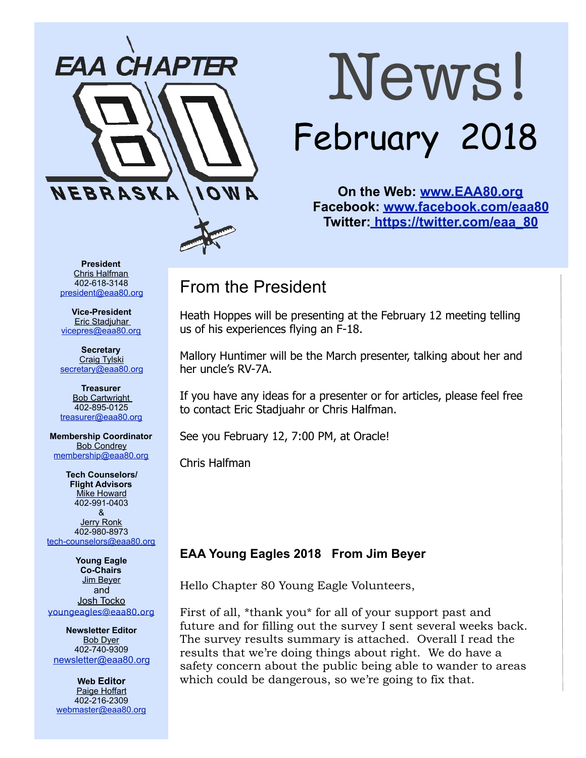

# News! February 2018

**On the Web: [www.EAA80.org](http://www.EAA80.org) Facebook: [www.facebook.com/eaa80](http://www.facebook.com/eaa80) Twitter[: https://twitter.com/eaa\\_80](https://twitter.com/eaa_80)**

**President**  Chris Halfman 402-618-3148 [president@eaa80.org](mailto:president@eaa80.org)

**Vice-President**  Eric Stadjuhar [vicepres@eaa80.org](mailto:vicepres@eaa80.org) 

**Secretary**  Craig Tylski [secretary@eaa80.org](mailto:secretary@eaa80.org)

**Treasurer**  Bob Cartwright 402-895-0125 [treasurer@eaa80.org](mailto:treasurer@eaa80.org)

**Membership Coordinator**  Bob Condrey [membership@eaa80.org](mailto:membership@eaa80.org) 

**Tech Counselors/ Flight Advisors Mike Howard** 402-991-0403 & Jerry Ronk 402-980-8973 [tech-counselors@eaa80.org](mailto:tech-counselors@eaa80.org) 

**Young Eagle Co-Chairs**  Jim Beyer and Josh Tocko [youngeagles@eaa80.org](mailto:youngeagles@eaa80.org)

**Newsletter Editor**  Bob Dyer 402-740-9309 [newsletter@eaa80.org](mailto:newsletter@eaa80.org)

**Web Editor**  Paige Hoffart 402-216-2309 [webmaster@eaa80.org](mailto:webmaster@eaa80.org)

# From the President

Heath Hoppes will be presenting at the February 12 meeting telling us of his experiences flying an F-18.

Mallory Huntimer will be the March presenter, talking about her and her uncle's RV-7A.

If you have any ideas for a presenter or for articles, please feel free to contact Eric Stadjuahr or Chris Halfman.

See you February 12, 7:00 PM, at Oracle!

Chris Halfman

### **EAA Young Eagles 2018 From Jim Beyer**

Hello Chapter 80 Young Eagle Volunteers,

First of all, \*thank you\* for all of your support past and future and for filling out the survey I sent several weeks back. The survey results summary is attached. Overall I read the results that we're doing things about right. We do have a safety concern about the public being able to wander to areas which could be dangerous, so we're going to fix that.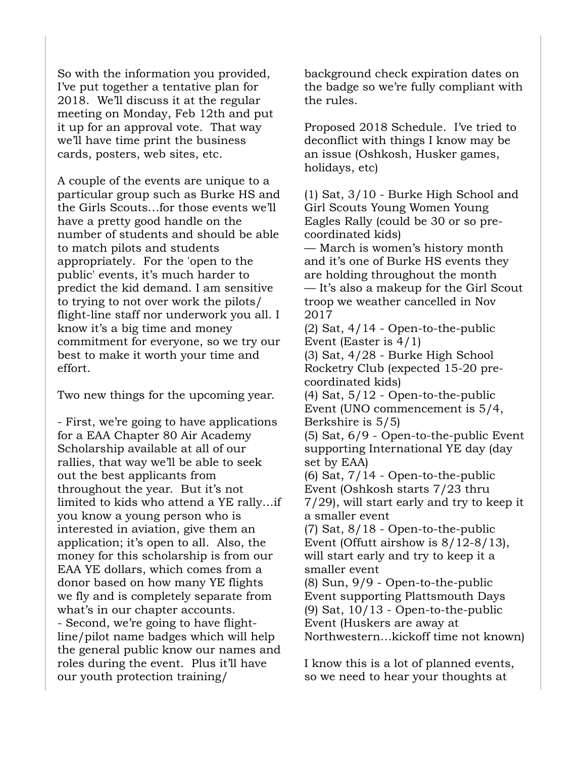So with the information you provided, I've put together a tentative plan for 2018. We'll discuss it at the regular meeting on Monday, Feb 12th and put it up for an approval vote. That way we'll have time print the business cards, posters, web sites, etc.

A couple of the events are unique to a particular group such as Burke HS and the Girls Scouts…for those events we'll have a pretty good handle on the number of students and should be able to match pilots and students appropriately. For the 'open to the public' events, it's much harder to predict the kid demand. I am sensitive to trying to not over work the pilots/ flight-line staff nor underwork you all. I know it's a big time and money commitment for everyone, so we try our best to make it worth your time and effort.

Two new things for the upcoming year.

- First, we're going to have applications for a EAA Chapter 80 Air Academy Scholarship available at all of our rallies, that way we'll be able to seek out the best applicants from throughout the year. But it's not limited to kids who attend a YE rally…if you know a young person who is interested in aviation, give them an application; it's open to all. Also, the money for this scholarship is from our EAA YE dollars, which comes from a donor based on how many YE flights we fly and is completely separate from what's in our chapter accounts. - Second, we're going to have flightline/pilot name badges which will help the general public know our names and roles during the event. Plus it'll have our youth protection training/

background check expiration dates on the badge so we're fully compliant with the rules.

Proposed 2018 Schedule. I've tried to deconflict with things I know may be an issue (Oshkosh, Husker games, holidays, etc)

(1) Sat, 3/10 - Burke High School and Girl Scouts Young Women Young Eagles Rally (could be 30 or so precoordinated kids)

— March is women's history month and it's one of Burke HS events they are holding throughout the month — It's also a makeup for the Girl Scout troop we weather cancelled in Nov 2017

 $(2)$  Sat,  $4/14$  - Open-to-the-public Event (Easter is 4/1) (3) Sat, 4/28 - Burke High School Rocketry Club (expected 15-20 precoordinated kids)

(4) Sat, 5/12 - Open-to-the-public Event (UNO commencement is 5/4, Berkshire is 5/5)

(5) Sat, 6/9 - Open-to-the-public Event supporting International YE day (day set by EAA)

(6) Sat, 7/14 - Open-to-the-public Event (Oshkosh starts 7/23 thru 7/29), will start early and try to keep it a smaller event (7) Sat, 8/18 - Open-to-the-public Event (Offutt airshow is 8/12-8/13),

will start early and try to keep it a smaller event

(8) Sun, 9/9 - Open-to-the-public Event supporting Plattsmouth Days (9) Sat, 10/13 - Open-to-the-public Event (Huskers are away at Northwestern…kickoff time not known)

I know this is a lot of planned events, so we need to hear your thoughts at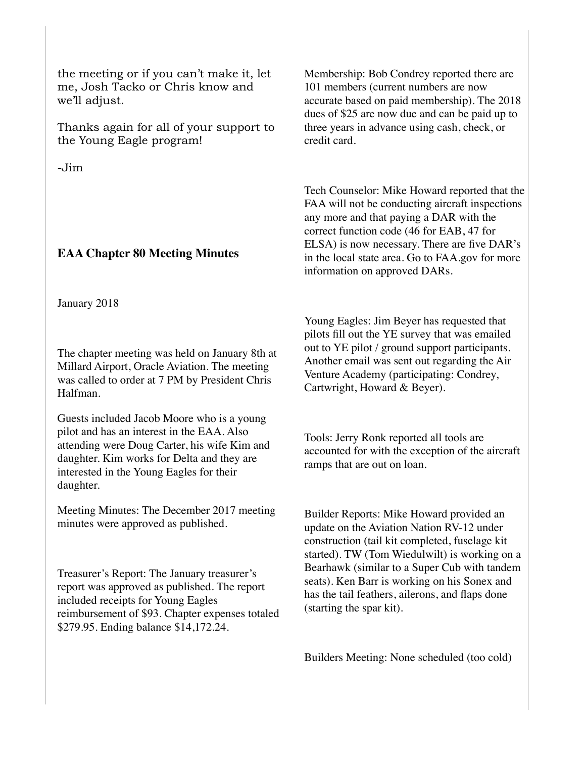the meeting or if you can't make it, let me, Josh Tacko or Chris know and we'll adjust.

Thanks again for all of your support to the Young Eagle program!

-Jim

#### **EAA Chapter 80 Meeting Minutes**

January 2018

The chapter meeting was held on January 8th at Millard Airport, Oracle Aviation. The meeting was called to order at 7 PM by President Chris Halfman.

Guests included Jacob Moore who is a young pilot and has an interest in the EAA. Also attending were Doug Carter, his wife Kim and daughter. Kim works for Delta and they are interested in the Young Eagles for their daughter.

Meeting Minutes: The December 2017 meeting minutes were approved as published.

Treasurer's Report: The January treasurer's report was approved as published. The report included receipts for Young Eagles reimbursement of \$93. Chapter expenses totaled \$279.95. Ending balance \$14,172.24.

Membership: Bob Condrey reported there are 101 members (current numbers are now accurate based on paid membership). The 2018 dues of \$25 are now due and can be paid up to three years in advance using cash, check, or credit card.

Tech Counselor: Mike Howard reported that the FAA will not be conducting aircraft inspections any more and that paying a DAR with the correct function code (46 for EAB, 47 for ELSA) is now necessary. There are five DAR's in the local state area. Go to FAA.gov for more information on approved DARs.

Young Eagles: Jim Beyer has requested that pilots fill out the YE survey that was emailed out to YE pilot / ground support participants. Another email was sent out regarding the Air Venture Academy (participating: Condrey, Cartwright, Howard & Beyer).

Tools: Jerry Ronk reported all tools are accounted for with the exception of the aircraft ramps that are out on loan.

Builder Reports: Mike Howard provided an update on the Aviation Nation RV-12 under construction (tail kit completed, fuselage kit started). TW (Tom Wiedulwilt) is working on a Bearhawk (similar to a Super Cub with tandem seats). Ken Barr is working on his Sonex and has the tail feathers, ailerons, and flaps done (starting the spar kit).

Builders Meeting: None scheduled (too cold)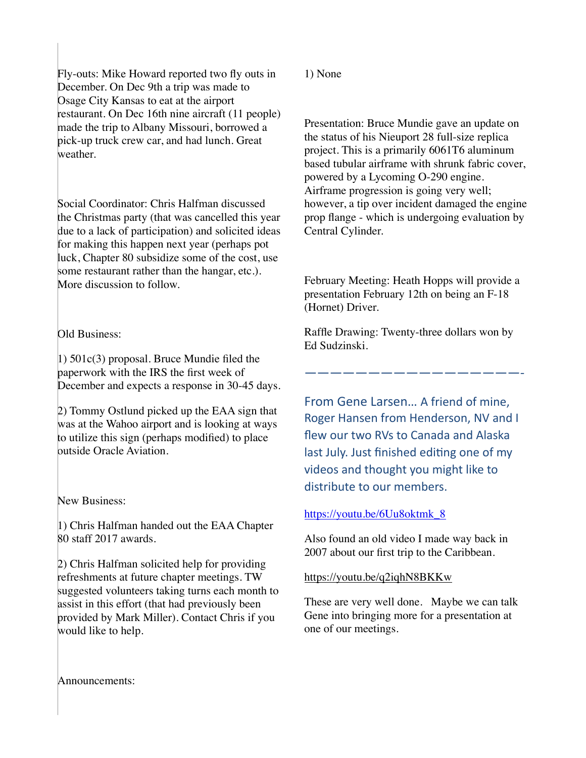Fly-outs: Mike Howard reported two fly outs in December. On Dec 9th a trip was made to Osage City Kansas to eat at the airport restaurant. On Dec 16th nine aircraft (11 people) made the trip to Albany Missouri, borrowed a pick-up truck crew car, and had lunch. Great weather.

Social Coordinator: Chris Halfman discussed the Christmas party (that was cancelled this year due to a lack of participation) and solicited ideas for making this happen next year (perhaps pot luck, Chapter 80 subsidize some of the cost, use some restaurant rather than the hangar, etc.). More discussion to follow.

#### Old Business:

1) 501c(3) proposal. Bruce Mundie filed the paperwork with the IRS the first week of December and expects a response in 30-45 days.

2) Tommy Ostlund picked up the EAA sign that was at the Wahoo airport and is looking at ways to utilize this sign (perhaps modified) to place outside Oracle Aviation.

New Business:

1) Chris Halfman handed out the EAA Chapter 80 staff 2017 awards.

2) Chris Halfman solicited help for providing refreshments at future chapter meetings. TW suggested volunteers taking turns each month to assist in this effort (that had previously been provided by Mark Miller). Contact Chris if you would like to help.

#### 1) None

Presentation: Bruce Mundie gave an update on the status of his Nieuport 28 full-size replica project. This is a primarily 6061T6 aluminum based tubular airframe with shrunk fabric cover, powered by a Lycoming O-290 engine. Airframe progression is going very well; however, a tip over incident damaged the engine prop flange - which is undergoing evaluation by Central Cylinder.

February Meeting: Heath Hopps will provide a presentation February 12th on being an F-18 (Hornet) Driver.

Raffle Drawing: Twenty-three dollars won by Ed Sudzinski.

—————————————————- 

From Gene Larsen... A friend of mine, Roger Hansen from Henderson, NV and I flew our two RVs to Canada and Alaska last July. Just finished editing one of my videos and thought you might like to distribute to our members.

#### [https://youtu.be/6Uu8oktmk\\_8](https://youtu.be/6Uu8oktmk_8)

Also found an old video I made way back in 2007 about our first trip to the Caribbean.

#### <https://youtu.be/q2iqhN8BKKw>

These are very well done. Maybe we can talk Gene into bringing more for a presentation at one of our meetings.

Announcements: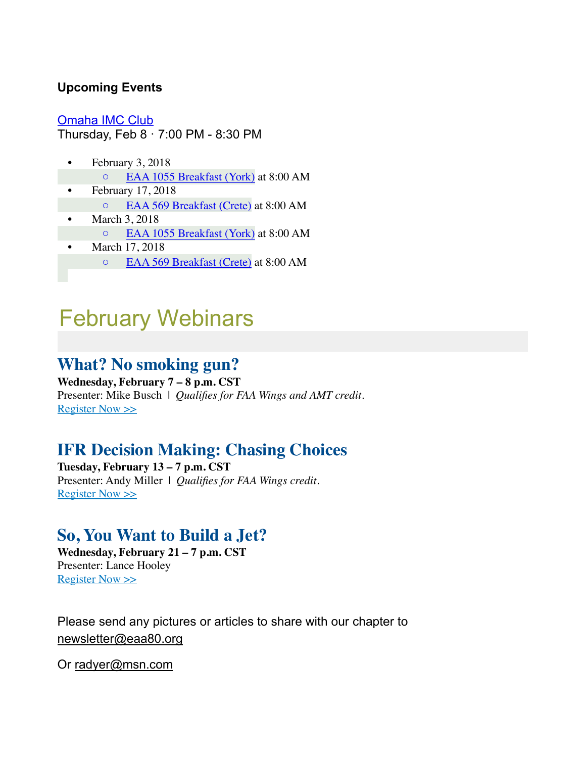#### **Upcoming Events**

[Omaha IMC Club](https://www.eaa.org/eaa/event/2017-12-14-Omaha_IMC_Club?id=9BAB18C3F52D4E63A6CF3EA01D43B9D4) Thursday, Feb 8 · 7:00 PM - 8:30 PM

- February 3, 2018 ◦ [EAA 1055 Breakfast \(York\)](http://1055.eaachapter.org/) at 8:00 AM
- February 17, 2018 ◦ [EAA 569 Breakfast \(Crete\)](http://eaa569.org/blog/) at 8:00 AM
- March 3, 2018
	- [EAA 1055 Breakfast \(York\)](http://1055.eaachapter.org/) at 8:00 AM
- March 17, 2018
	- [EAA 569 Breakfast \(Crete\)](http://eaa569.org/blog/) at 8:00 AM

# February Webinars

## **What? No smoking gun?**

**Wednesday, February 7 – 8 p.m. CST** Presenter: Mike Busch | *Qualifies for FAA Wings and AMT credit.* [Register Now >>](http://go.eaa.org/FNmEB00Fb0S0H38V000UOK1)

# **IFR Decision Making: Chasing Choices**

**Tuesday, February 13 – 7 p.m. CST** Presenter: Andy Miller | *Qualifies for FAA Wings credit.* [Register Now >>](http://go.eaa.org/a0300B0NVS0m00cUGEK81HO)

## **So, You Want to Build a Jet?**

**Wednesday, February 21 – 7 p.m. CST** Presenter: Lance Hooley [Register Now >>](http://go.eaa.org/uHK000mE1B0O0d038HVSUN0)

Please send any pictures or articles to share with our chapter to [newsletter@eaa80.org](mailto:newsletter@eaa80.org) 

Or [radyer@msn.com](mailto:radyer@msn.com)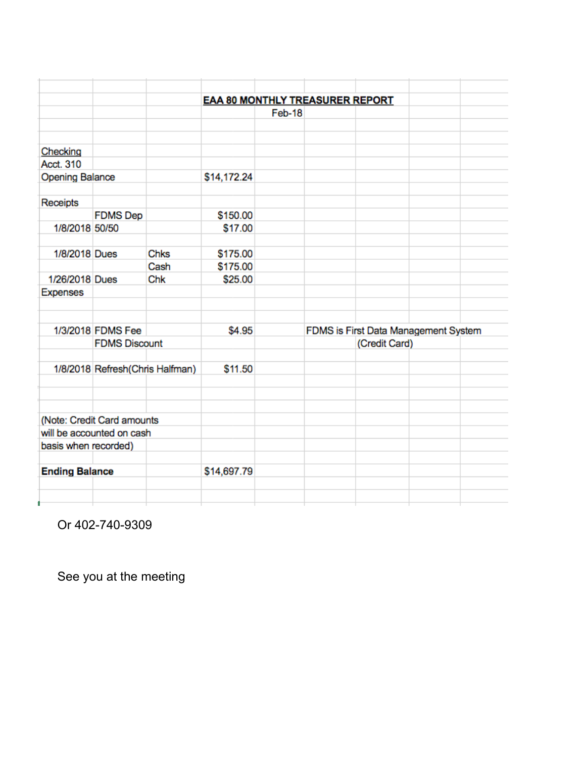|                                           |                                  |      | <b>EAA 80 MONTHLY TREASURER REPORT</b> |                                                       |  |  |  |  |
|-------------------------------------------|----------------------------------|------|----------------------------------------|-------------------------------------------------------|--|--|--|--|
|                                           |                                  |      |                                        | Feb-18                                                |  |  |  |  |
|                                           |                                  |      |                                        |                                                       |  |  |  |  |
| Checking                                  |                                  |      |                                        |                                                       |  |  |  |  |
| Acct. 310                                 |                                  |      |                                        |                                                       |  |  |  |  |
| <b>Opening Balance</b>                    |                                  |      | \$14,172.24                            |                                                       |  |  |  |  |
|                                           |                                  |      |                                        |                                                       |  |  |  |  |
| Receipts                                  |                                  |      |                                        |                                                       |  |  |  |  |
|                                           | <b>FDMS</b> Dep                  |      | \$150.00                               |                                                       |  |  |  |  |
| 1/8/2018 50/50                            |                                  |      | \$17.00                                |                                                       |  |  |  |  |
|                                           |                                  |      |                                        |                                                       |  |  |  |  |
| 1/8/2018 Dues                             |                                  | Chks | \$175.00                               |                                                       |  |  |  |  |
|                                           |                                  | Cash | \$175.00                               |                                                       |  |  |  |  |
| 1/26/2018 Dues                            |                                  | Chk  | \$25.00                                |                                                       |  |  |  |  |
| <b>Expenses</b>                           |                                  |      |                                        |                                                       |  |  |  |  |
|                                           |                                  |      |                                        |                                                       |  |  |  |  |
|                                           |                                  |      | \$4.95                                 |                                                       |  |  |  |  |
| 1/3/2018 FDMS Fee<br><b>FDMS Discount</b> |                                  |      |                                        | FDMS is First Data Management System<br>(Credit Card) |  |  |  |  |
|                                           |                                  |      |                                        |                                                       |  |  |  |  |
|                                           | 1/8/2018 Refresh (Chris Halfman) |      | \$11.50                                |                                                       |  |  |  |  |
|                                           |                                  |      |                                        |                                                       |  |  |  |  |
|                                           |                                  |      |                                        |                                                       |  |  |  |  |
|                                           |                                  |      |                                        |                                                       |  |  |  |  |
|                                           | (Note: Credit Card amounts       |      |                                        |                                                       |  |  |  |  |
|                                           | will be accounted on cash        |      |                                        |                                                       |  |  |  |  |
| basis when recorded)                      |                                  |      |                                        |                                                       |  |  |  |  |
|                                           |                                  |      |                                        |                                                       |  |  |  |  |
| <b>Ending Balance</b>                     |                                  |      | \$14,697.79                            |                                                       |  |  |  |  |
|                                           |                                  |      |                                        |                                                       |  |  |  |  |
|                                           |                                  |      |                                        |                                                       |  |  |  |  |

Or 402-740-9309

See you at the meeting